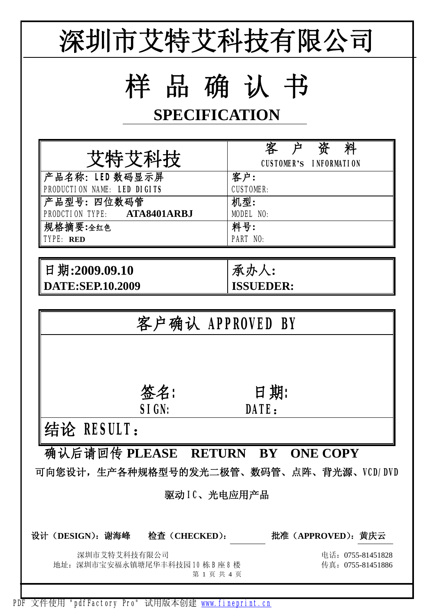

PDF 文件使用 "pdfFactory Pro" 试用版本创建 [www.fineprint.cn](http://www.fineprint.cn)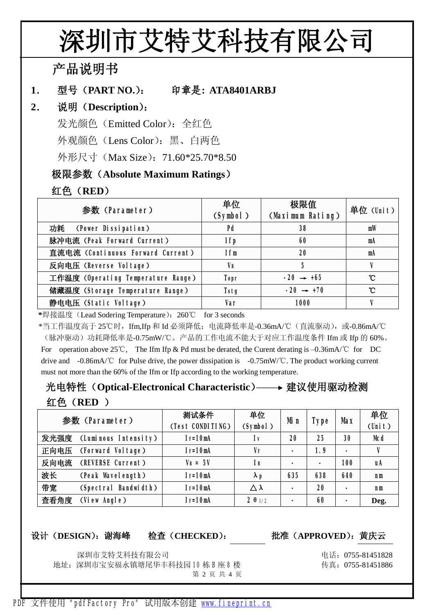## **深圳市艾特艾科技有限公司**

**产品说明书**

1. 型号 (PART NO.): 印章是: ATA8401ARBJ

## **2. 说明(Description):**

发光颜色 (Emitted Color): 全红色

外观颜色(Lens Color):黑、白两色

外形尺寸 (Max Size): 71.60\*25.70\*8.50

## **极限参数(Absolute Maximum Ratings)**

**红色(RED)**

| 参数(Parameter)                      | 单位<br>(Symbol) | 极限值<br>(Maximum Rating) | 单位(Unit) |  |
|------------------------------------|----------------|-------------------------|----------|--|
| 功耗 (Power Dissipation)             | Pd             | 38                      | mW       |  |
| 脉冲电流 (Peak Forward Current)        | I fp           | 60                      | mA       |  |
| 直流电流 (Continuous Forward Current)  | Ifm            | 20                      | mA       |  |
| 反向电压 (Reverse Voltage)             | <b>VR</b>      | 5                       |          |  |
| 工作温度 (Operating Temperature Range) | <b>Topr</b>    | $-20 \rightarrow +65$   | °C       |  |
| 储藏温度 (Storage Temperature Range)   | Tstg           | $-20 \rightarrow +70$   | °C       |  |
| 静电电压 (Static Voltage)              | Var            | 1000                    |          |  |

**\***焊接温度(Lead Sodering Temperature):260℃ for 3 seconds

\*当工作温度高于 25℃时,Ifm,Ifp 和 Id 必须降低;电流降低率是-0.36mA/℃(直流驱动),或-0.86mA/℃ (脉冲驱动)功耗降低率是-0.75mW/℃。产品的工作电流不能大于对应工作温度条件 Ifm 或 Ifp 的 60%。 For operation above 25℃, The Ifm Ifp & Pd must be derated, the Curent derating is –0.36mA/℃ for DC drive and -0.86mA/℃ for Pulse drive, the power dissipation is -0.75mW/℃. The product working current must not more than the 60% of the Ifm or Ifp according to the working temperature.

## **光电特性(Optical-Electronical Characteristic) 建议使用驱动检测 红色(RED )**

|      | 参数 (Parameter)       | 测试条件<br>(Test CONDITING) | 单位<br>(Symbol)      | Mi n           | <b>Type</b>    | <b>Max</b>                   | 单位<br>$(\text{Unit})$ |
|------|----------------------|--------------------------|---------------------|----------------|----------------|------------------------------|-----------------------|
| 发光强度 | (Luminous Intensity) | $I = 10mA$               | l v                 | 20             | 25             | 30                           | <b>Ncd</b>            |
| 正向电压 | (Forward Voltage)    | $I = 10mA$               | VF                  | $\blacksquare$ | 1.9            | $\blacksquare$               | V                     |
| 反向电流 | (REVERSE Current)    | $V_R = 5V$               | <b>IR</b>           |                | $\blacksquare$ | 100                          | uA                    |
| 波长   | (Peak Wavelength)    | $I = 10mA$               | $\lambda$ p         | 635            | 638            | 640                          | n <sub>m</sub>        |
| 带宽   | (Spectral Bandwidth) | $I = 10mA$               | $\triangle \lambda$ | $\blacksquare$ | 20             | -                            | n <sub>m</sub>        |
| 査看角度 | (View Angle)         | $I = 10m$                | $2 \theta 1/2$      | $\blacksquare$ | 60             | $\qquad \qquad \blacksquare$ | Deg.                  |

**设计(DESIGN):谢海峰 检查(CHECKED): 批准(APPROVED):黄庆云**

深圳市艾特艾科技有限公司 电话:0755-81451828 地址: 深圳市宝安福永镇塘尾华丰科技园 10 栋 B 座 8 楼  $\blacksquare$  7 75 755-81451886 第 2 页 共 4 页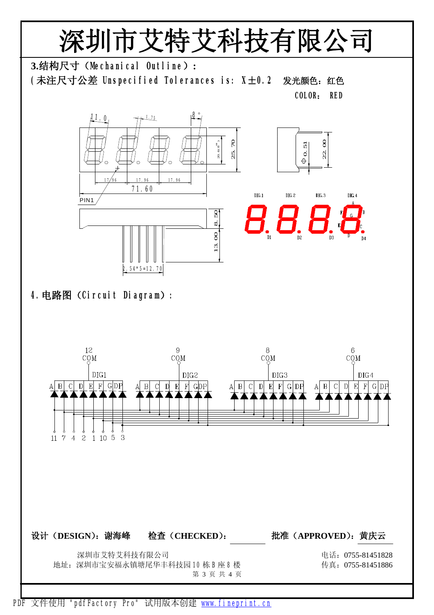